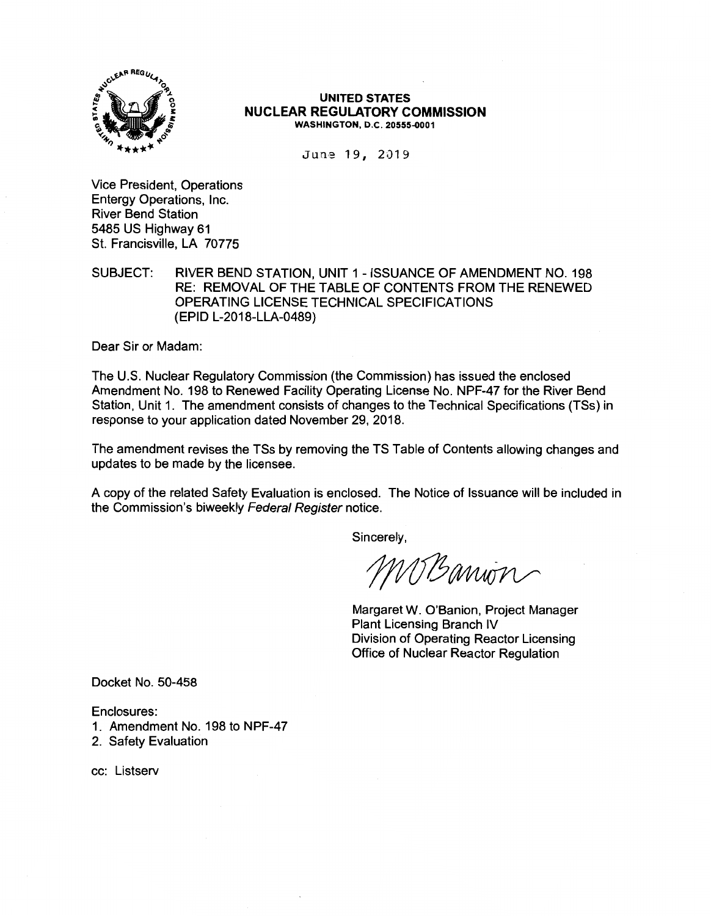

#### **UNITED STATES NUCLEAR REGULATORY COMMISSION WASHINGTON, D.C. 20555-0001**

June 19, 2019

Vice President, Operations Entergy Operations, Inc. River Bend Station 5485 US Highway 61 St. Francisville, LA 70775

SUBJECT: RIVER BEND STATION, UNIT 1 - ISSUANCE OF AMENDMENT NO. 198 RE: REMOVAL OF THE TABLE OF CONTENTS FROM THE RENEWED OPERATING LICENSE TECHNICAL SPECIFICATIONS (EPID L-2018-LLA-0489)

Dear Sir or Madam:

The U.S. Nuclear Regulatory Commission (the Commission) has issued the enclosed Amendment No. 198 to Renewed Facility Operating License No. NPF-47 for the River Bend Station, Unit 1. The amendment consists of changes to the Technical Specifications (TSs) in response to your application dated November 29, 2018.

The amendment revises the TSs by removing the TS Table of Contents allowing changes and updates to be made by the licensee.

A copy of the related Safety Evaluation is enclosed. The Notice of Issuance will be included in the Commission's biweekly Federal Register notice.

Sincerely,

MBanion

Margaret W. O'Banion, Project Manager Plant Licensing Branch IV Division of Operating Reactor Licensing Office of Nuclear Reactor Regulation

Docket No. 50-458

Enclosures:

- 1. Amendment No. 198 to NPF-47
- 2. Safety Evaluation

cc: Listserv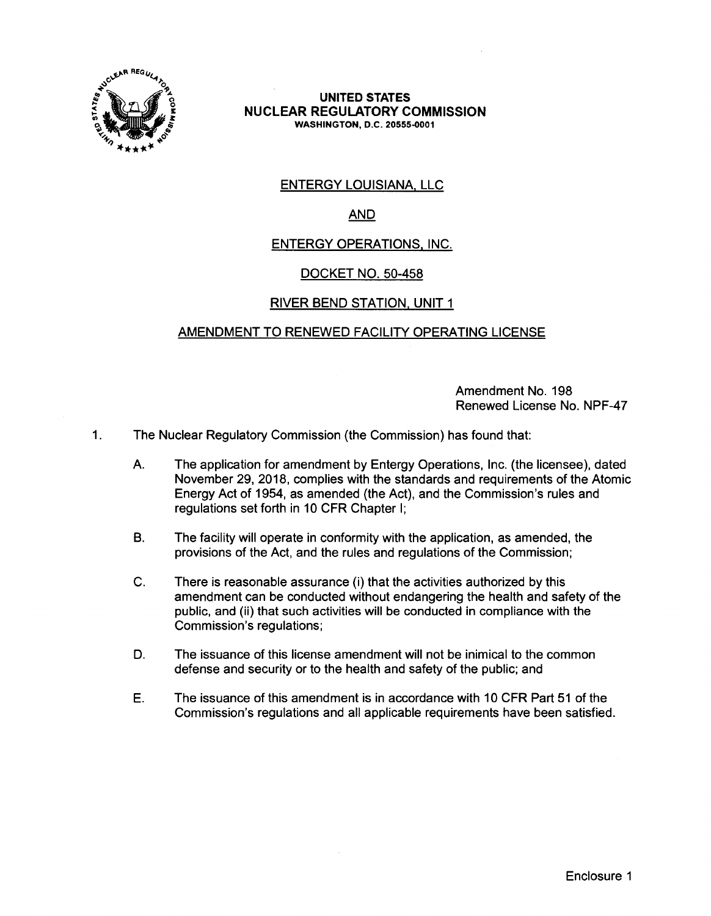

#### **UNITED STATES NUCLEAR REGULATORY COMMISSION WASHINGTON,** D.C. **20555-0001**

# **ENTERGY LOUISIANA, LLC**

# AND

# ENTERGY OPERATIONS. INC.

# DOCKET NO. 50-458

## RIVER BEND STATION. UNIT 1

## AMENDMENT TO RENEWED FACILITY OPERATING LICENSE

Amendment No. 198 Renewed License No. NPF-47

- 1. The Nuclear Regulatory Commission (the Commission) has found that:
	- A. The application for amendment by Entergy Operations, Inc. (the licensee), dated November 29, 2018, complies with the standards and requirements of the Atomic Energy Act of 1954, as amended (the Act), and the Commission's rules and regulations set forth in 10 CFR Chapter I;
	- B. The facility will operate in conformity with the application, as amended, the provisions of the Act, and the rules and regulations of the Commission;
	- C. There is reasonable assurance (i) that the activities authorized by this amendment can be conducted without endangering the health and safety of the public, and (ii) that such activities will be conducted in compliance with the Commission's regulations;
	- D. The issuance of this license amendment will not be inimical to the common defense and security or to the health and safety of the public; and
	- E. The issuance of this amendment is in accordance with 10 CFR Part 51 of the Commission's regulations and all applicable requirements have been satisfied.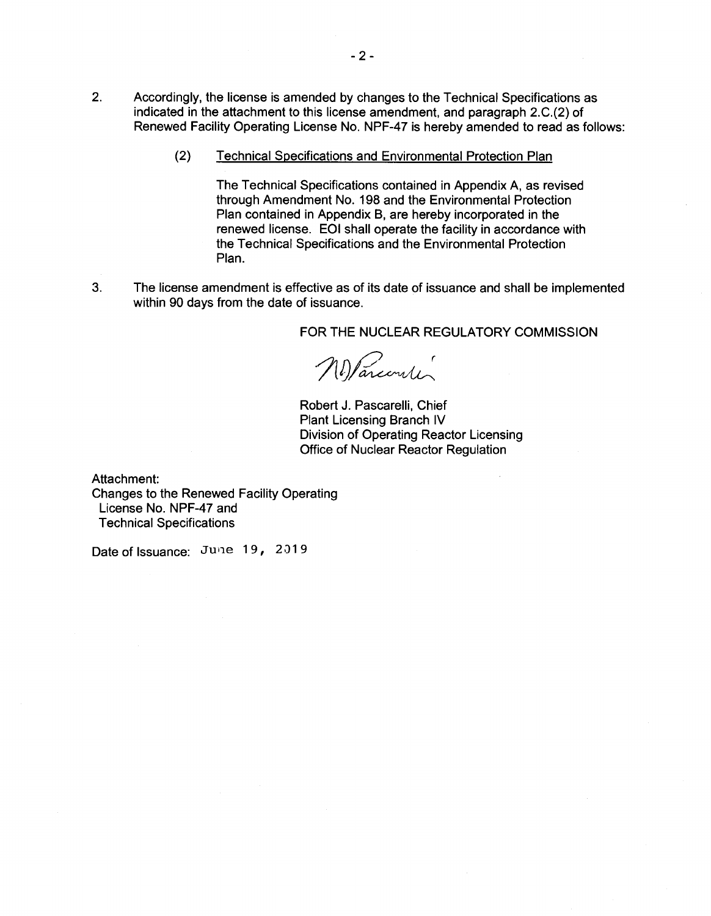- 2. Accordingly, the license is amended by changes to the Technical Specifications as indicated in the attachment to this license amendment, and paragraph 2.C.(2) of Renewed Facility Operating License No. NPF-47 is hereby amended to read as follows:
	- (2) Technical Specifications and Environmental Protection Plan

The Technical Specifications contained in Appendix A, as revised through Amendment No. 198 and the Environmental Protection Plan contained in Appendix B, are hereby incorporated in the renewed license. EOI shall operate the facility in accordance with the Technical Specifications and the Environmental Protection Plan.

3. The license amendment is effective as of its date of issuance and shall be implemented within 90 days from the date of issuance.

FOR THE NUCLEAR REGULATORY COMMISSION

Nelancourter

Robert J. Pascarelli, Chief Plant Licensing Branch IV Division of Operating Reactor Licensing Office of Nuclear Reactor Regulation

Attachment: Changes to the Renewed Facility Operating License No. NPF-47 and Technical Specifications

Date of Issuance: June 19, 2019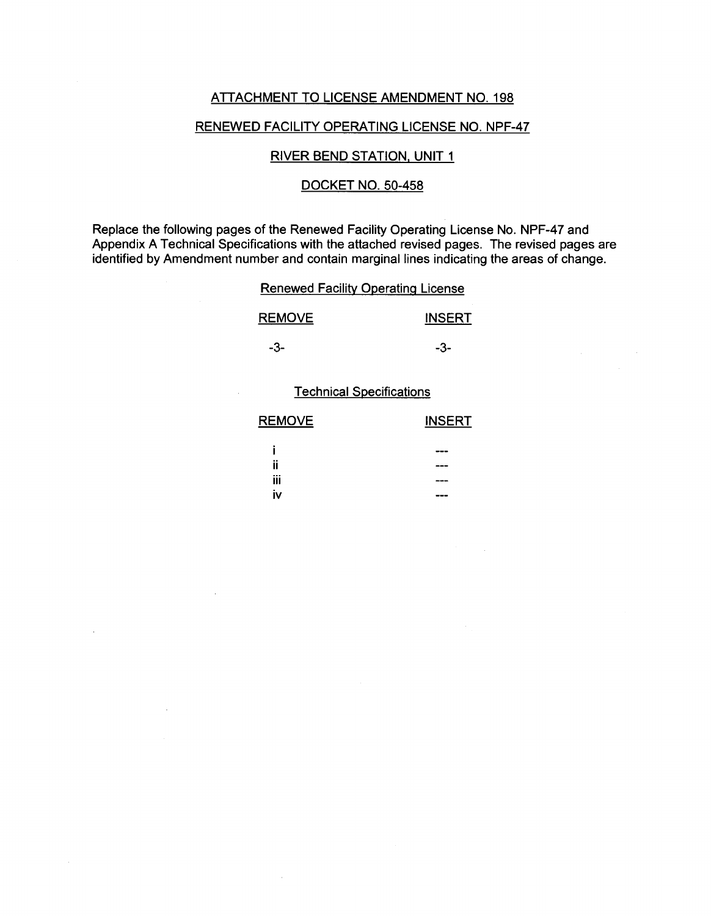## ATTACHMENT TO LICENSE AMENDMENT NO. 198

### RENEWED FACILITY OPERATING LICENSE NO. NPF-47

## RIVER BEND STATION, UNIT 1

### DOCKET NO. 50-458

Replace the following pages of the Renewed Facility Operating License No. NPF-47 and Appendix A Technical Specifications with the attached revised pages. The revised pages are identified by Amendment number and contain marginal lines indicating the areas of change.

### Renewed Facility Operating License

| <b>REMOVE</b> | <b>INSERT</b> |
|---------------|---------------|
| -3-           | -3-           |

#### Technical Specifications

| <b>REMOVE</b>  | <b>INSERT</b> |
|----------------|---------------|
|                | ---           |
| $\bullet$<br>π | .             |
| iii            | ---           |
| ٠<br>i۷        | --            |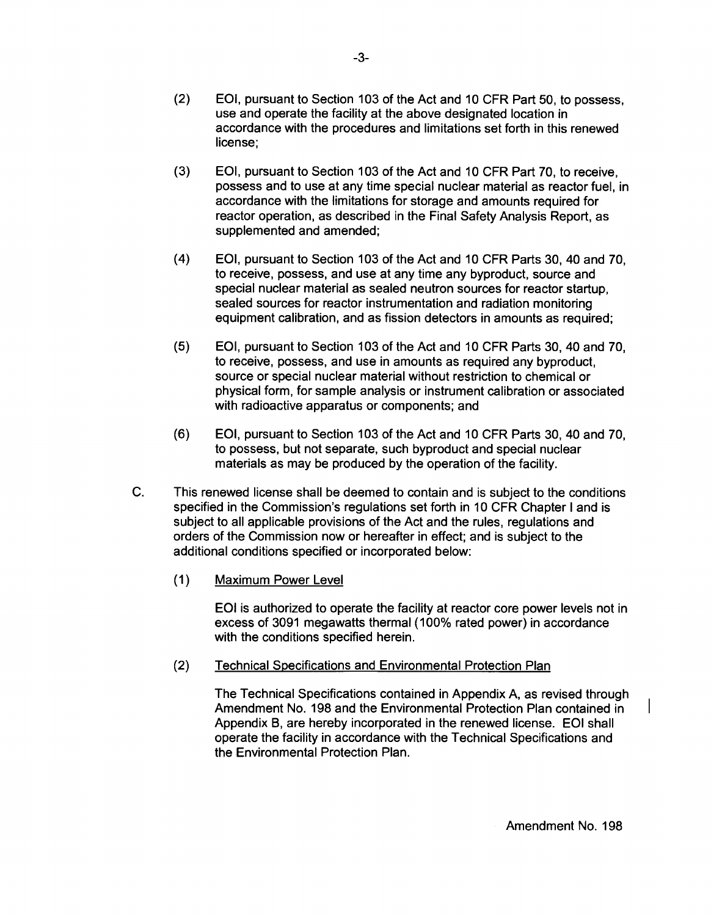- (3) EOI, pursuant to Section 103 of the Act and 10 CFR Part 70, to receive, possess and to use at any time special nuclear material as reactor fuel, in accordance with the limitations for storage and amounts required for reactor operation, as described in the Final Safety Analysis Report, as supplemented and amended;
- (4) EOI, pursuant to Section 103 of the Act and 10 CFR Parts 30, 40 and 70, to receive, possess, and use at any time any byproduct, source and special nuclear material as sealed neutron sources for reactor startup, sealed sources for reactor instrumentation and radiation monitoring equipment calibration, and as fission detectors in amounts as required;
- (5) EOI, pursuant to Section 103 of the Act and 10 CFR Parts 30, 40 and 70, to receive, possess, and use in amounts as required any byproduct, source or special nuclear material without restriction to chemical or physical form, for sample analysis or instrument calibration or associated with radioactive apparatus or components; and
- (6) EOI, pursuant to Section 103 of the Act and 10 CFR Parts 30, 40 and 70, to possess, but not separate, such byproduct and special nuclear materials as may be produced by the operation of the facility.
- C. This renewed license shall be deemed to contain and is subject to the conditions specified in the Commission's regulations set forth in 10 CFR Chapter I and is subject to all applicable provisions of the Act and the rules, regulations and orders of the Commission now or hereafter in effect; and is subject to the additional conditions specified or incorporated below:
	- (1) Maximum Power Level

EOI is authorized to operate the facility at reactor core power levels not in excess of 3091 megawatts thermal (100% rated power) in accordance with the conditions specified herein.

# (2) Technical Specifications and Environmental Protection Plan

The Technical Specifications contained in Appendix A, as revised through Amendment No. 198 and the Environmental Protection Plan contained in Appendix B, are hereby incorporated in the renewed license. EOI shall operate the facility in accordance with the Technical Specifications and the Environmental Protection Plan.

Amendment No. 198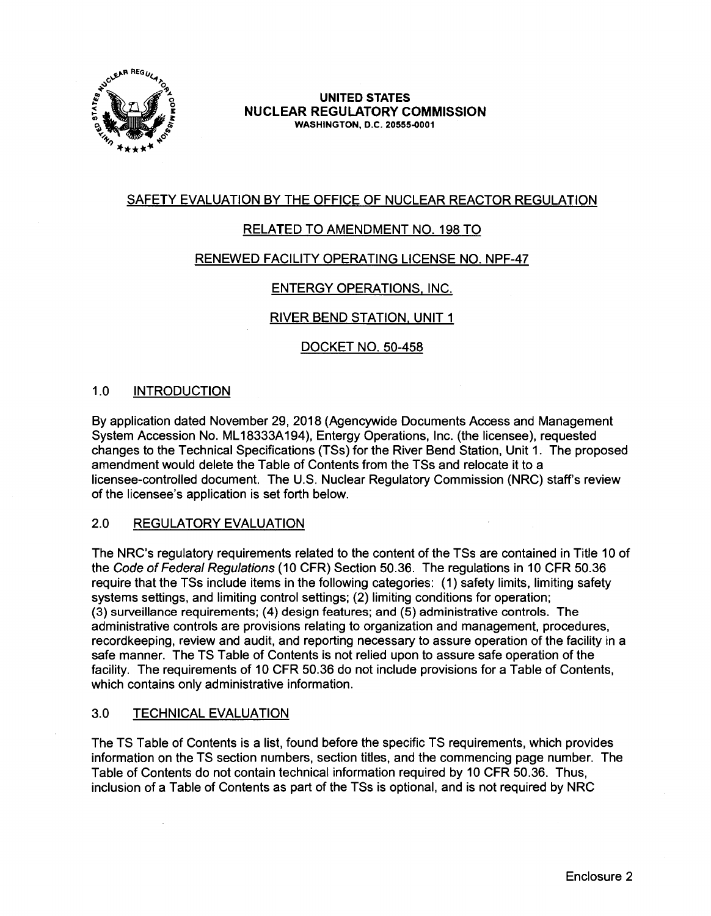

**UNITED STATES NUCLEAR REGULATORY COMMISSION WASHINGTON,** 0.C. **20555-0001** 

# SAFETY EVALUATION BY THE OFFICE OF NUCLEAR REACTOR REGULATION

# RELATED TO AMENDMENT NO. 198 TO

## RENEWED FACILITY OPERATING LICENSE NO. NPF-47

## ENTERGY OPERATIONS, INC.

## RIVER BEND STATION, UNIT 1

## DOCKET NO. 50-458

## 1.0 INTRODUCTION

By application dated November 29, 2018 (Agencywide Documents Access and Management System Accession No. ML 18333A194), Entergy Operations, Inc. (the licensee), requested changes to the Technical Specifications (TSs) for the River Bend Station, Unit 1. The proposed amendment would delete the Table of Contents from the TSs and relocate it to a licensee-controlled document. The U.S. Nuclear Regulatory Commission (NRC) staff's review of the licensee's application is set forth below.

### 2.0 REGULATORY EVALUATION

The NRC's regulatory requirements related to the content of the TSs are contained in Title 10 of the Code of Federal Regulations (10 CFR) Section 50.36. The regulations in 10 CFR 50.36 require that the TSs include items in the following categories: (1) safety limits, limiting safety systems settings, and limiting control settings; (2) limiting conditions for operation; (3) surveillance requirements; (4) design features; and (5) administrative controls. The administrative controls are provisions relating to organization and management, procedures, recordkeeping, review and audit, and reporting necessary to assure operation of the facility in a safe manner. The TS Table of Contents is not relied upon to assure safe operation of the facility. The requirements of 10 CFR 50.36 do not include provisions for a Table of Contents, which contains only administrative information.

### 3.0 TECHNICAL EVALUATION

The TS Table of Contents is a list, found before the specific TS requirements, which provides information on the TS section numbers, section titles, and the commencing page number. The Table of Contents do not contain technical information required by 10 CFR 50.36. Thus, inclusion of a Table of Contents as part of the TSs is optional, and is not required by NRC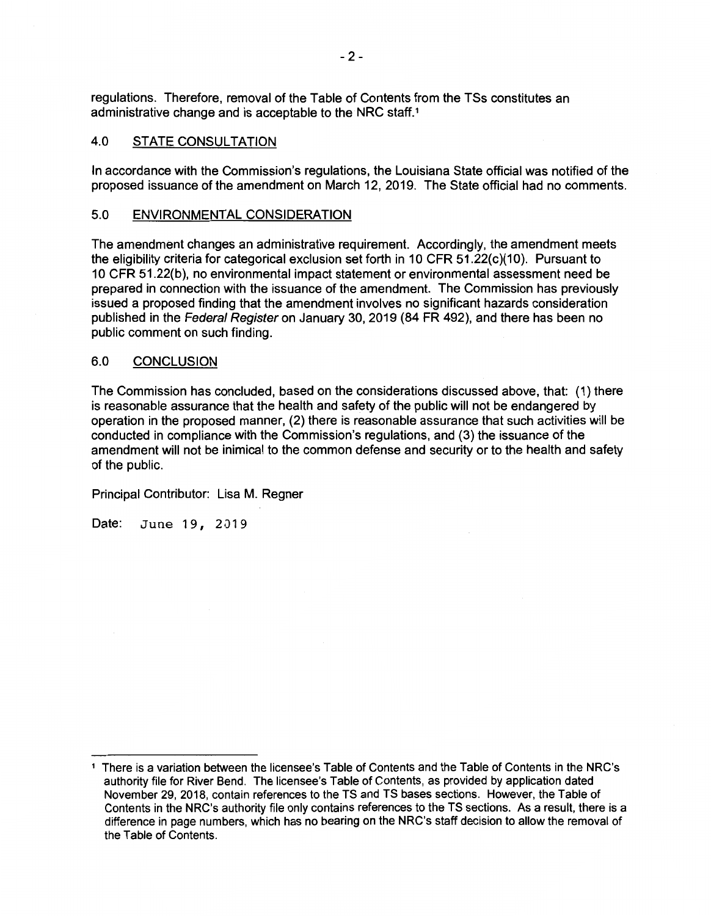regulations. Therefore, removal of the Table of Contents from the TSs constitutes an administrative change and is acceptable to the NRC staff.<sup>1</sup>

### 4.0 STATE CONSULTATION

In accordance with the Commission's regulations, the Louisiana State official was notified of the proposed issuance of the amendment on March 12, 2019. The State official had no comments.

#### 5.0 **ENVIRONMENTAL CONSIDERATION**

The amendment changes an administrative requirement. Accordingly, the amendment meets the eligibility criteria for categorical exclusion set forth in 10 CFR  $51.22(c)(10)$ . Pursuant to 10 CFR 51.22(b), no environmental impact statement or environmental assessment need be prepared in connection with the issuance of the amendment. The Commission has previously issued a proposed finding that the amendment involves no significant hazards consideration published in the Federal Register on January 30, 2019 (84 FR 492), and there has been no public comment on such finding.

### 6.0 **CONCLUSION**

The Commission has concluded, based on the considerations discussed above, that: (1) there is reasonable assurance that the health and safety of the public will not be endangered by operation in the proposed manner, (2) there is reasonable assurance that such activities will be conducted in compliance with the Commission's regulations, and (3) the issuance of the amendment will not be inimical to the common defense and security or to the health and safety of the public.

Principal Contributor: Lisa M. Regner

Date: June 19, 2019

<sup>1</sup> There is a variation between the licensee's Table of Contents and the Table of Contents in the NRC's authority file for River Bend. The licensee's Table of Contents, as provided by application dated November 29, 2018, contain references to the TS and TS bases sections. However, the Table of Contents in the NRC's authority file only contains references to the TS sections. As a result, there is a difference in page numbers, which has no bearing on the NRC's staff decision to allow the removal of the Table of Contents.